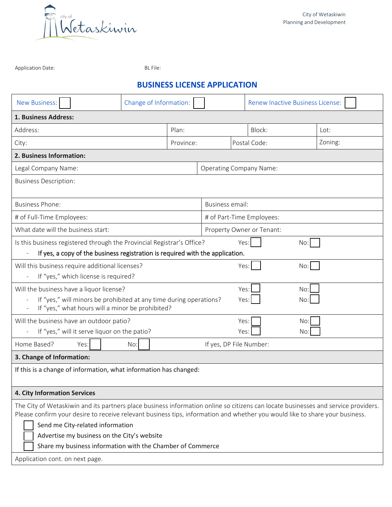

Application Date: BL File:

## **BUSINESS LICENSE APPLICATION**

| <b>New Business:</b>                                                                                                                                                                                                                                                                                                                                                                                                | Change of Information: |                         |                                |  | <b>Renew Inactive Business License:</b> |         |  |
|---------------------------------------------------------------------------------------------------------------------------------------------------------------------------------------------------------------------------------------------------------------------------------------------------------------------------------------------------------------------------------------------------------------------|------------------------|-------------------------|--------------------------------|--|-----------------------------------------|---------|--|
| 1. Business Address:                                                                                                                                                                                                                                                                                                                                                                                                |                        |                         |                                |  |                                         |         |  |
| Address:                                                                                                                                                                                                                                                                                                                                                                                                            |                        | Plan:                   |                                |  | Block:                                  | Lot:    |  |
| City:                                                                                                                                                                                                                                                                                                                                                                                                               |                        | Province:               |                                |  | Postal Code:                            | Zoning: |  |
| 2. Business Information:                                                                                                                                                                                                                                                                                                                                                                                            |                        |                         |                                |  |                                         |         |  |
| Legal Company Name:                                                                                                                                                                                                                                                                                                                                                                                                 |                        |                         | <b>Operating Company Name:</b> |  |                                         |         |  |
| <b>Business Description:</b>                                                                                                                                                                                                                                                                                                                                                                                        |                        |                         |                                |  |                                         |         |  |
| <b>Business Phone:</b>                                                                                                                                                                                                                                                                                                                                                                                              |                        |                         | Business email:                |  |                                         |         |  |
| # of Full-Time Employees:                                                                                                                                                                                                                                                                                                                                                                                           |                        |                         | # of Part-Time Employees:      |  |                                         |         |  |
| What date will the business start:                                                                                                                                                                                                                                                                                                                                                                                  |                        |                         | Property Owner or Tenant:      |  |                                         |         |  |
| Is this business registered through the Provincial Registrar's Office?<br>Yes:<br>No:                                                                                                                                                                                                                                                                                                                               |                        |                         |                                |  |                                         |         |  |
| If yes, a copy of the business registration is required with the application.                                                                                                                                                                                                                                                                                                                                       |                        |                         |                                |  |                                         |         |  |
| Will this business require additional licenses?<br>Yes:<br>No:<br>If "yes," which license is required?                                                                                                                                                                                                                                                                                                              |                        |                         |                                |  |                                         |         |  |
| Will the business have a liquor license?<br>Yes:<br>No:<br>If "yes," will minors be prohibited at any time during operations?<br>Yes:<br>No:<br>If "yes," what hours will a minor be prohibited?                                                                                                                                                                                                                    |                        |                         |                                |  |                                         |         |  |
| Will the business have an outdoor patio?<br>Yes:<br>No:                                                                                                                                                                                                                                                                                                                                                             |                        |                         |                                |  |                                         |         |  |
| If "yes," will it serve liquor on the patio?<br>Yes:<br>No:                                                                                                                                                                                                                                                                                                                                                         |                        |                         |                                |  |                                         |         |  |
| Home Based?<br>Yes:                                                                                                                                                                                                                                                                                                                                                                                                 | No:                    | If yes, DP File Number: |                                |  |                                         |         |  |
| 3. Change of Information:                                                                                                                                                                                                                                                                                                                                                                                           |                        |                         |                                |  |                                         |         |  |
| If this is a change of information, what information has changed:                                                                                                                                                                                                                                                                                                                                                   |                        |                         |                                |  |                                         |         |  |
| 4. City Information Services                                                                                                                                                                                                                                                                                                                                                                                        |                        |                         |                                |  |                                         |         |  |
| The City of Wetaskiwin and its partners place business information online so citizens can locate businesses and service providers.<br>Please confirm your desire to receive relevant business tips, information and whether you would like to share your business.<br>Send me City-related information<br>Advertise my business on the City's website<br>Share my business information with the Chamber of Commerce |                        |                         |                                |  |                                         |         |  |

Application cont. on next page.